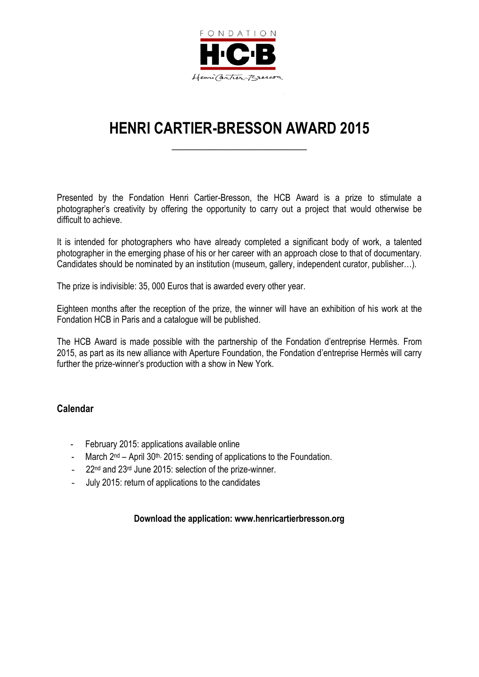

# **HENRI CARTIER-BRESSON AWARD 2015**

**\_\_\_\_\_\_\_\_\_\_\_\_\_\_\_\_\_\_\_\_\_\_\_**

Presented by the Fondation Henri Cartier-Bresson, the HCB Award is a prize to stimulate a photographer's creativity by offering the opportunity to carry out a project that would otherwise be difficult to achieve.

It is intended for photographers who have already completed a significant body of work, a talented photographer in the emerging phase of his or her career with an approach close to that of documentary. Candidates should be nominated by an institution (museum, gallery, independent curator, publisher…).

The prize is indivisible: 35, 000 Euros that is awarded every other year.

Eighteen months after the reception of the prize, the winner will have an exhibition of his work at the Fondation HCB in Paris and a catalogue will be published.

The HCB Award is made possible with the partnership of the Fondation d'entreprise Hermès. From 2015, as part as its new alliance with Aperture Foundation, the Fondation d'entreprise Hermès will carry further the prize-winner's production with a show in New York.

#### **Calendar**

- February 2015: applications available online
- March  $2<sup>nd</sup>$  April 30<sup>th,</sup> 2015: sending of applications to the Foundation.
- 22<sup>nd</sup> and 23<sup>rd</sup> June 2015: selection of the prize-winner.
- July 2015: return of applications to the candidates

#### **Download the application: www.henricartierbresson.org**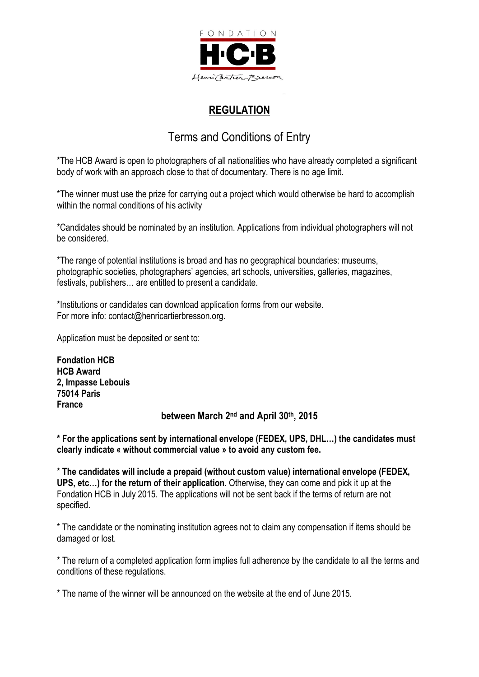

## **REGULATION**

# Terms and Conditions of Entry

\*The HCB Award is open to photographers of all nationalities who have already completed a significant body of work with an approach close to that of documentary. There is no age limit.

\*The winner must use the prize for carrying out a project which would otherwise be hard to accomplish within the normal conditions of his activity

\*Candidates should be nominated by an institution. Applications from individual photographers will not be considered.

\*The range of potential institutions is broad and has no geographical boundaries: museums, photographic societies, photographers' agencies, art schools, universities, galleries, magazines, festivals, publishers… are entitled to present a candidate.

\*Institutions or candidates can download application forms from our website. For more info: contact@henricartierbresson.org.

Application must be deposited or sent to:

**Fondation HCB HCB Award 2, Impasse Lebouis 75014 Paris France** between March 2<sup>nd</sup> and April 30<sup>th</sup>, 2015

**\* For the applications sent by international envelope (FEDEX, UPS, DHL…) the candidates must clearly indicate « without commercial value » to avoid any custom fee.**

\* **The candidates will include a prepaid (without custom value) international envelope (FEDEX, UPS, etc…) for the return of their application.** Otherwise, they can come and pick it up at the Fondation HCB in July 2015. The applications will not be sent back if the terms of return are not specified.

\* The candidate or the nominating institution agrees not to claim any compensation if items should be damaged or lost.

\* The return of a completed application form implies full adherence by the candidate to all the terms and conditions of these regulations.

\* The name of the winner will be announced on the website at the end of June 2015.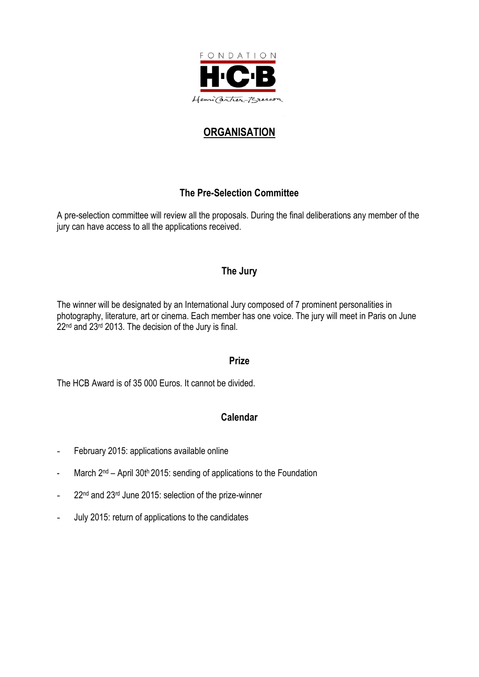

# **ORGANISATION**

### **The Pre-Selection Committee**

A pre-selection committee will review all the proposals. During the final deliberations any member of the jury can have access to all the applications received.

#### **The Jury**

The winner will be designated by an International Jury composed of 7 prominent personalities in photography, literature, art or cinema. Each member has one voice. The jury will meet in Paris on June 22<sup>nd</sup> and 23<sup>rd</sup> 2013. The decision of the Jury is final.

#### **Prize**

The HCB Award is of 35 000 Euros. It cannot be divided.

#### **Calendar**

- February 2015: applications available online
- March 2<sup>nd</sup> April 30th 2015: sending of applications to the Foundation
- 22<sup>nd</sup> and 23<sup>rd</sup> June 2015: selection of the prize-winner
- July 2015: return of applications to the candidates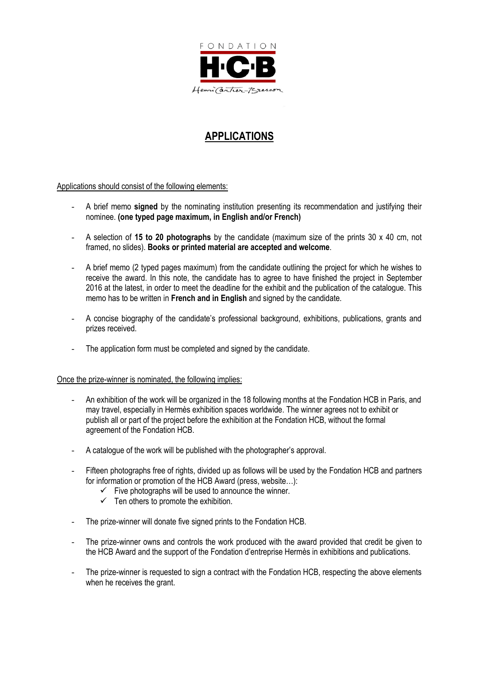

### **APPLICATIONS**

Applications should consist of the following elements:

- A brief memo **signed** by the nominating institution presenting its recommendation and justifying their nominee. **(one typed page maximum, in English and/or French)**
- A selection of **15 to 20 photographs** by the candidate (maximum size of the prints 30 x 40 cm, not framed, no slides). **Books or printed material are accepted and welcome**.
- A brief memo (2 typed pages maximum) from the candidate outlining the project for which he wishes to receive the award. In this note, the candidate has to agree to have finished the project in September 2016 at the latest, in order to meet the deadline for the exhibit and the publication of the catalogue. This memo has to be written in **French and in English** and signed by the candidate.
- A concise biography of the candidate's professional background, exhibitions, publications, grants and prizes received.
- The application form must be completed and signed by the candidate.

#### Once the prize-winner is nominated, the following implies:

- An exhibition of the work will be organized in the 18 following months at the Fondation HCB in Paris, and may travel, especially in Hermès exhibition spaces worldwide. The winner agrees not to exhibit or publish all or part of the project before the exhibition at the Fondation HCB, without the formal agreement of the Fondation HCB.
- A catalogue of the work will be published with the photographer's approval.
- Fifteen photographs free of rights, divided up as follows will be used by the Fondation HCB and partners for information or promotion of the HCB Award (press, website...):
	- $\checkmark$  Five photographs will be used to announce the winner.
	- $\checkmark$  Ten others to promote the exhibition.
- The prize-winner will donate five signed prints to the Fondation HCB.
- The prize-winner owns and controls the work produced with the award provided that credit be given to the HCB Award and the support of the Fondation d'entreprise Hermès in exhibitions and publications.
- The prize-winner is requested to sign a contract with the Fondation HCB, respecting the above elements when he receives the grant.